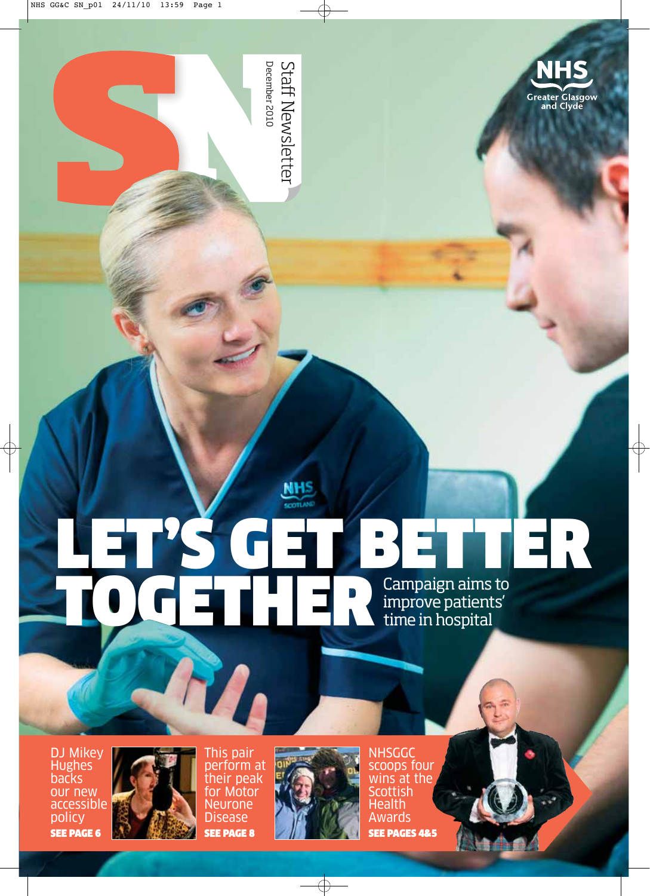

December 2010 **Staff Newsletter** December 2010

### **NHS** SCOTLAND LET'S GET BETTER **TOGETHERECAMPLE DESCRIPTION CAMPAIGN AND SURVEY SURVEY OF THE RECALIBRATION CAMPAIGN AND SURVEY OF THE RECALIBRANCE OF THE RECALIBRANCE OF THE RECALIBRANCE OF THE RECALIBRANCE OF THE RECALIBRANCE OF THE RECALIBRANCE OF TH** improve patients' time in hospital

DJ Mikey Hughes backs our new accessible policy SEE PAGE 6



This pair perform at their peak for Motor Neurone Disease SEE PAGE 8



NHSGGC scoops four wins at the **Scottish Health** Awards SEE PAGES 4&5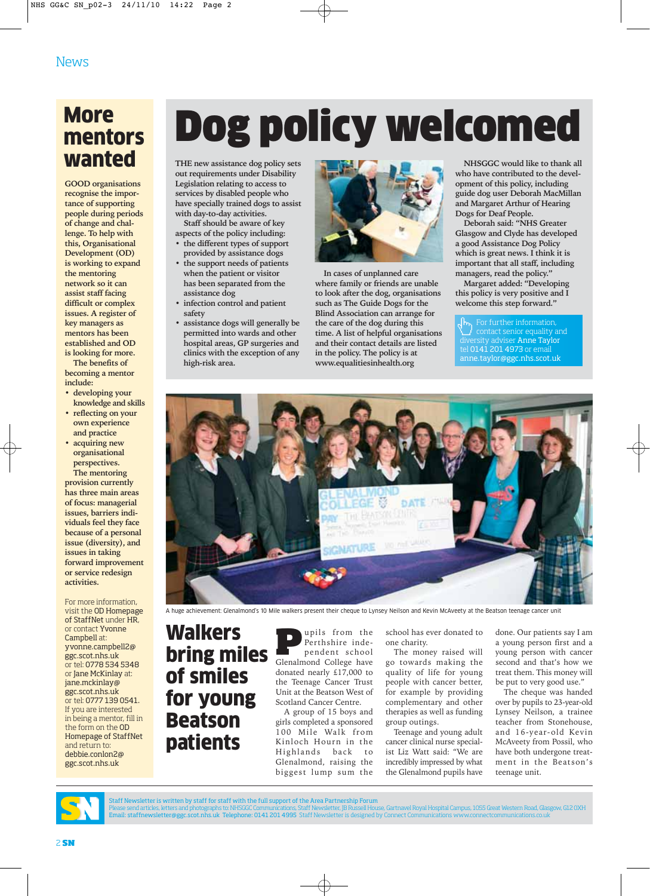## **More** mentors<br>wanted

**GOOD organisations recognise the importance of supporting people during periods of change and challenge. To help with this, Organisational Development (OD) is working to expand the mentoring network so it can assist staff facing difficult or complex issues. A register of key managers as mentors has been established and OD is looking for more.**

**The benefits of becoming a mentor include:**

- **developing your knowledge and skills**
- **reflecting on your own experience and practice**
- **acquiring new organisational perspectives.**

**The mentoring provision currently has three main areas of focus: managerial issues, barriers individuals feel they face because of a personal issue (diversity), and issues in taking forward improvement or service redesign activities.**

For more information, visit the OD Homepage of StaffNet under HR, or contact Yvonne Campbell at: yvonne.campbell2@ ggc.scot.nhs.uk or tel: 0778 534 5348 or Jane McKinlay at: jane.mckinlay@ ggc.scot.nhs.uk or tel: 0777 139 0541. If you are interested in being a mentor, fill in the form on the OD Homepage of StaffNet and return to: debbie.conlon2@ ggc.scot.nhs.uk

## Dog policy welcomed

THE new assistance dog policy sets **out requirements under Disability Legislation relating to access to services by disabled people who have specially trained dogs to assist with day-to-day activities.** 

**Staff should be aware of key aspects of the policy including:**

- **the different types of support provided by assistance dogs**
- **the support needs of patients when the patient or visitor has been separated from the assistance dog**
- **infection control and patient safety**
- **assistance dogs will generally be permitted into wards and other hospital areas, GP surgeries and clinics with the exception of any high-risk area.**



**In cases of unplanned care where family or friends are unable to look after the dog, organisations such as The Guide Dogs for the Blind Association can arrange for the care of the dog during this time. A list of helpful organisations and their contact details are listed in the policy. The policy is at www.equalitiesinhealth.org**

**NHSGGC would like to thank all who have contributed to the development of this policy, including guide dog user Deborah MacMillan and Margaret Arthur of Hearing Dogs for Deaf People.** 

**Deborah said: "NHS Greater Glasgow and Clyde has developed a good Assistance Dog Policy which is great news. I think it is important that all staff, including managers, read the policy."** 

**Margaret added: "Developing this policy is very positive and I welcome this step forward."**

 $\sqrt{\frac{H_{\text{m}}}{\text{Cov}}}\$  For further information, contact senior equality and diversity adviser Anne Taylor tel 0141 201 4973 or email anne.taylor@ggc.nhs.scot.uk



A huge achievement: Glenalmond's 10 Mile walkers present their cheque to Lynsey Neilson and Kevin McAveety at the Beatson teenage cancer unit

Walkers bring miles of smiles for young Beatson patients

**Pupils from the Perthshire inde-**<br>
pendent school<br> **Clenalmond College have** Perthshire inde-Glenalmond College have donated nearly £17,000 to the Teenage Cancer Trust Unit at the Beatson West of Scotland Cancer Centre.

A group of 15 boys and girls completed a sponsored 100 Mile Walk from Kinloch Hourn in the Highlands back to Glenalmond, raising the biggest lump sum the

school has ever donated to one charity.

The money raised will go towards making the quality of life for young people with cancer better, for example by providing complementary and other therapies as well as funding group outings.

Teenage and young adult cancer clinical nurse specialist Liz Watt said: "We are incredibly impressed by what the Glenalmond pupils have done. Our patients say I am a young person first and a young person with cancer second and that's how we treat them. This money will be put to very good use."

The cheque was handed over by pupils to 23-year-old Lynsey Neilson, a trainee teacher from Stonehouse, and 16-year-old Kevin McAveety from Possil, who have both undergone treatment in the Beatson's teenage unit.



Staff Newsletter is written by staff for staff with the full support of the Area Partnership Forum

Please send articles, letters and photographs to: NHSGGC Communications, Staff Newsletter, JB Russell House, Gartnavel Royal Hospital Campus, 1055 Great Western Road, Glasgow, G12 0XH<br>Email: staffnewsletter@ggc.scot.nhs.uk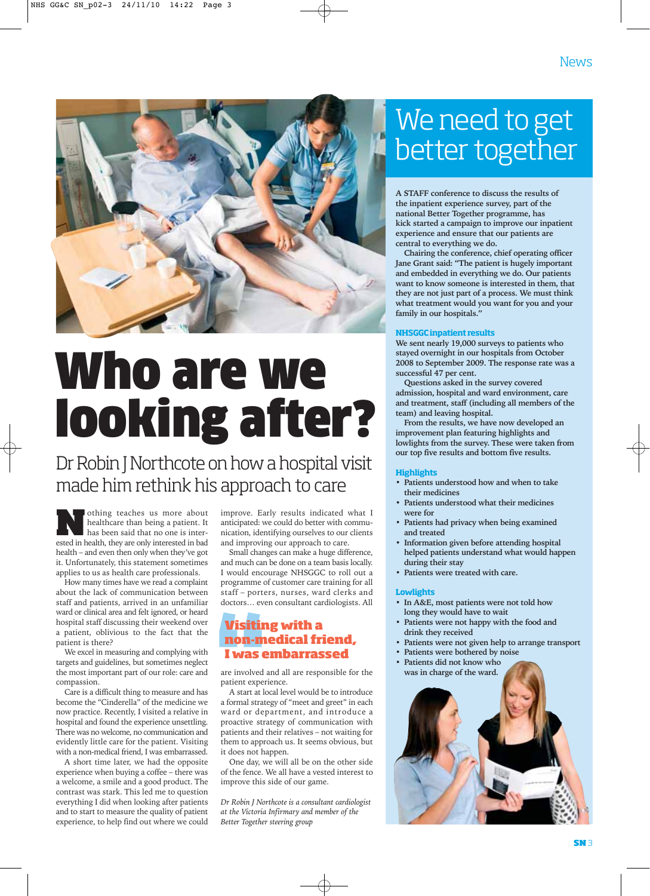

# Who are we looking after?

### Dr Robin J Northcote on how a hospital visit made him rethink his approach to care

othing teaches us more about<br>healthcare than being a patient. It<br>has been said that no one is inter-<br>ested in health they are only interested in heal healthcare than being a patient. It has been said that no one is interested in health, they are only interested in bad health – and even then only when they've got it. Unfortunately, this statement sometimes applies to us as health care professionals.

How many times have we read a complaint about the lack of communication between staff and patients, arrived in an unfamiliar ward or clinical area and felt ignored, or heard hospital staff discussing their weekend over a patient, oblivious to the fact that the patient is there?

We excel in measuring and complying with targets and guidelines, but sometimes neglect the most important part of our role: care and compassion.

Care is a difficult thing to measure and has become the "Cinderella" of the medicine we now practice. Recently, I visited a relative in hospital and found the experience unsettling. There was no welcome, no communication and evidently little care for the patient. Visiting with a non-medical friend, I was embarrassed.

A short time later, we had the opposite experience when buying a coffee – there was a welcome, a smile and a good product. The contrast was stark. This led me to question everything I did when looking after patients and to start to measure the quality of patient experience, to help find out where we could

improve. Early results indicated what I anticipated: we could do better with communication, identifying ourselves to our clients and improving our approach to care.

Small changes can make a huge difference, and much can be done on a team basis locally. I would encourage NHSGGC to roll out a programme of customer care training for all staff – porters, nurses, ward clerks and doctors… even consultant cardiologists. All

### **Visiting with a non-medical friend, I was embarrassed**

are involved and all are responsible for the patient experience.

A start at local level would be to introduce a formal strategy of "meet and greet" in each ward or department, and introduce a proactive strategy of communication with patients and their relatives – not waiting for them to approach us. It seems obvious, but it does not happen.

One day, we will all be on the other side of the fence. We all have a vested interest to improve this side of our game.

*Dr Robin J Northcote is a consultant cardiologist at the Victoria Infirmary and member of the Better Together steering group*

### We need to get better together

**A STAFF conference to discuss the results of the inpatient experience survey, part of the national Better Together programme, has kick started a campaign to improve our inpatient experience and ensure that our patients are central to everything we do.**

**Chairing the conference, chief operating officer Jane Grant said: "The patient is hugely important and embedded in everything we do. Our patients want to know someone is interested in them, that they are not just part of a process. We must think what treatment would you want for you and your family in our hospitals."**

We sent nearly 19,000 surveys to patients who **stayed overnight in our hospitals from October 2008 to September 2009. The response rate was a successful 47 per cent.**

**Questions asked in the survey covered admission, hospital and ward environment, care and treatment, staff (including all members of the team) and leaving hospital.**

**From the results, we have now developed an improvement plan featuring highlights and lowlights from the survey. These were taken from our top five results and bottom five results.**

- Patients understood how and when to take **their medicines**
- **Patients understood what their medicines were for**
- **Patients had privacy when being examined and treated**
- **Information given before attending hospital helped patients understand what would happen during their stay**
- **Patients were treated with care.**

- In A&E, most patients were not told how **long they would have to wait**
- **Patients were not happy with the food and drink they received**
- **Patients were not given help to arrange transport**
- **Patients were bothered by noise • Patients did not know who was in charge of the ward.**

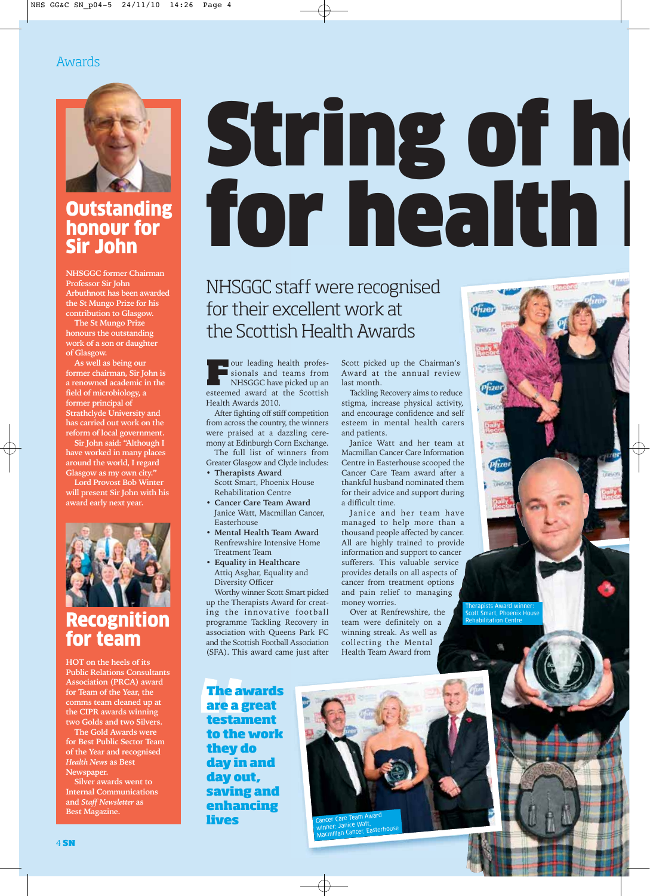### Awards



### **Outstanding** honour for Sir John

**NHSGGC former Chairman Professor Sir John Arbuthnott has been awarded the St Mungo Prize for his contribution to Glasgow.**

**The St Mungo Prize honours the outstanding work of a son or daughter of Glasgow.** 

**As well as being our former chairman, Sir John is a renowned academic in the field of microbiology, a former principal of Strathclyde University and has carried out work on the reform of local government.**

**Sir John said: "Although I have worked in many places around the world, I regard Glasgow as my own city."**

**Lord Provost Bob Winter will present Sir John with his award early next year.**



### Recognition for team

**HOT on the heels of its Public Relations Consultants Association (PRCA) award for Team of the Year, the comms team cleaned up at the CIPR awards winning two Golds and two Silvers.**

**The Gold Awards were for Best Public Sector Team of the Year and recognised** *Health News* **as Best Newspaper.**

**Silver awards went to Internal Communications and** *Staff Newsletter* **as Best Magazine.** 

# **String of h** for health

NHSGGC staff were recognised for their excellent work at the Scottish Health Awards

Four leading health professionals and teams from NHSGGC have picked up an esteemed award at the Scottish Health Awards 2010.

After fighting off stiff competition from across the country, the winners were praised at a dazzling ceremony at Edinburgh Corn Exchange.

The full list of winners from Greater Glasgow and Clyde includes: • **Therapists Award**

- Scott Smart, Phoenix House Rehabilitation Centre
- **Cancer Care Team Award** Janice Watt, Macmillan Cancer, Easterhouse
- **Mental Health Team Award** Renfrewshire Intensive Home Treatment Team
- **Equality in Healthcare** Attiq Asghar, Equality and Diversity Officer

Worthy winner Scott Smart picked up the Therapists Award for creating the innovative football programme Tackling Recovery in association with Queens Park FC and the Scottish Football Association (SFA). This award came just after

Scott picked up the Chairman's Award at the annual review last month.

Tackling Recovery aims to reduce stigma, increase physical activity, and encourage confidence and self esteem in mental health carers and patients.

Janice Watt and her team at Macmillan Cancer Care Information Centre in Easterhouse scooped the Cancer Care Team award after a thankful husband nominated them for their advice and support during a difficult time.

Janice and her team have managed to help more than a thousand people affected by cancer. All are highly trained to provide information and support to cancer sufferers. This valuable service provides details on all aspects of cancer from treatment options and pain relief to managing money worries.

Over at Renfrewshire, the team were definitely on a winning streak. As well as collecting the Mental Health Team Award from

Scott Smart, Phoenix House Rehabilitation Centre

Therapists Award winner:

Pfize **TROSCH** 

 $\rho$ *fire* 

**The awards are a great testament to the work they do day in and day out, saving and enhancing lives** 



4 **SN**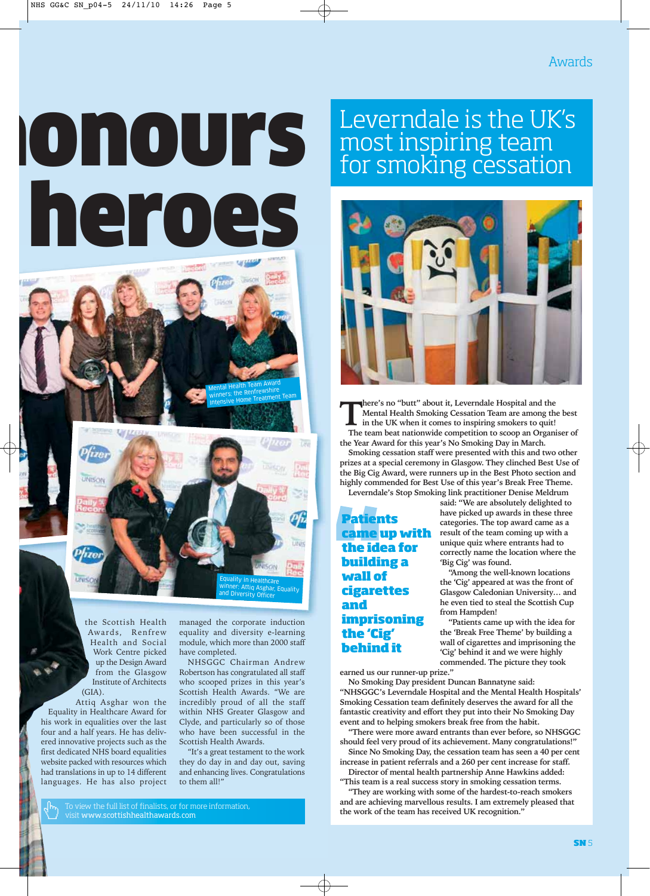# **Onours** heroes



the Scottish Health Awards, Renfrew Health and Social Work Centre picked up the Design Award from the Glasgow Institute of Architects  $(GIA)$ .

Attiq Asghar won the Equality in Healthcare Award for his work in equalities over the last four and a half years. He has delivered innovative projects such as the first dedicated NHS board equalities website packed with resources which had translations in up to 14 different languages. He has also project managed the corporate induction equality and diversity e-learning module, which more than 2000 staff have completed.

Mental Health Team Award winners: the Renfrewshire winners, the nome<br>Intensive Home Treatment Team

NHSGGC Chairman Andrew Robertson has congratulated all staff who scooped prizes in this year's Scottish Health Awards. "We are incredibly proud of all the staff within NHS Greater Glasgow and Clyde, and particularly so of those who have been successful in the Scottish Health Awards.

"It's a great testament to the work they do day in and day out, saving and enhancing lives. Congratulations to them all!"

visit www.scottishhealthawards.com

### Leverndale is the UK's most inspiring team for smoking cessation



**There's no "butt" about it, Leverndale Hospital and the**<br> **in the UK when it comes to inspiring smokers to quit!**<br> **The team best pationwide connection to scoop an Organ Mental Health Smoking Cessation Team are among the best The team beat nationwide competition to scoop an Organiser of the Year Award for this year's No Smoking Day in March.**

**Smoking cessation staff were presented with this and two other prizes at a special ceremony in Glasgow. They clinched Best Use of the Big Cig Award, were runners up in the Best Photo section and highly commended for Best Use of this year's Break Free Theme. Leverndale's Stop Smoking link practitioner Denise Meldrum**

**Patients came up with the idea for building a wall of cigarettes and imprisoning the 'Cig' behind it**

**said: "We are absolutely delighted to have picked up awards in these three categories. The top award came as a result of the team coming up with a unique quiz where entrants had to correctly name the location where the 'Big Cig' was found.**

**"Among the well-known locations the 'Cig' appeared at was the front of Glasgow Caledonian University… and he even tied to steal the Scottish Cup from Hampden!**

**"Patients came up with the idea for the 'Break Free Theme' by building a wall of cigarettes and imprisoning the 'Cig' behind it and we were highly commended. The picture they took**

**earned us our runner-up prize."**

**No Smoking Day president Duncan Bannatyne said: "NHSGGC's Leverndale Hospital and the Mental Health Hospitals' Smoking Cessation team definitely deserves the award for all the fantastic creativity and effort they put into their No Smoking Day event and to helping smokers break free from the habit.**

**"There were more award entrants than ever before, so NHSGGC should feel very proud of its achievement. Many congratulations!"**

**Since No Smoking Day, the cessation team has seen a 40 per cent increase in patient referrals and a 260 per cent increase for staff. Director of mental health partnership Anne Hawkins added:**

**"This team is a real success story in smoking cessation terms. "They are working with some of the hardest-to-reach smokers**

**and are achieving marvellous results. I am extremely pleased that the work of the team has received UK recognition."**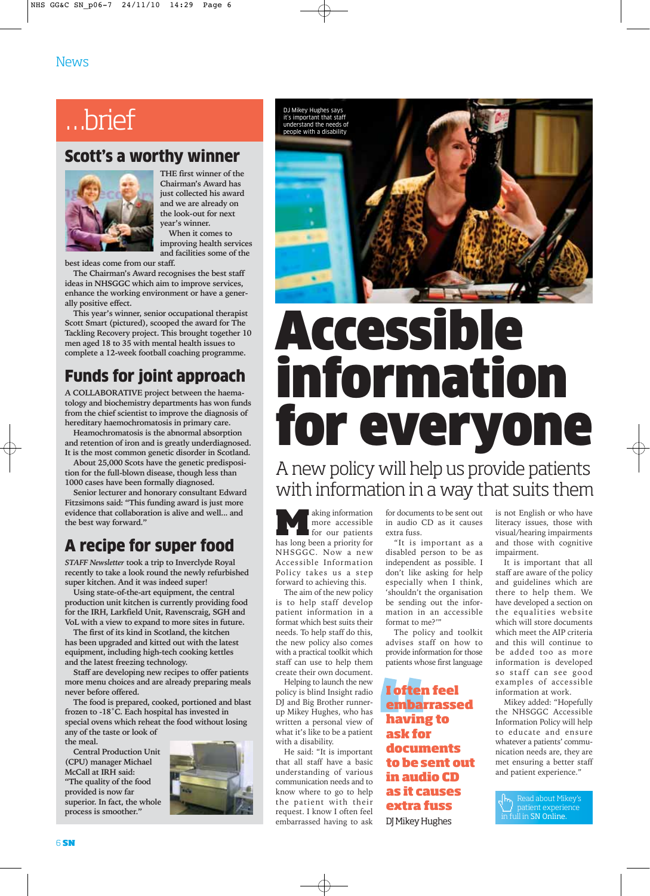### …brief

### Scott's a worthy winner



**THE first winner of the Chairman's Award has just collected his award and we are already on the look-out for next year's winner. When it comes to**

**improving health services and facilities some of the**

**best ideas come from our staff.**

**The Chairman's Award recognises the best staff ideas in NHSGGC which aim to improve services, enhance the working environment or have a generally positive effect.**

**This year's winner, senior occupational therapist Scott Smart (pictured), scooped the award for The Tackling Recovery project. This brought together 10 men aged 18 to 35 with mental health issues to complete a 12-week football coaching programme.**

### Funds for joint approach

**A COLLABORATIVE project between the haematology and biochemistry departments has won funds from the chief scientist to improve the diagnosis of hereditary haemochromatosis in primary care.**

**Heamochromatosis is the abnormal absorption and retention of iron and is greatly underdiagnosed. It is the most common genetic disorder in Scotland.** 

**About 25,000 Scots have the genetic predisposition for the full-blown disease, though less than 1000 cases have been formally diagnosed.** 

**Senior lecturer and honorary consultant Edward Fitzsimons said: "This funding award is just more evidence that collaboration is alive and well... and the best way forward."** 

### A recipe for super food

*STAFF Newsletter* **took a trip to Inverclyde Royal recently to take a look round the newly refurbished super kitchen. And it was indeed super!**

**Using state-of-the-art equipment, the central production unit kitchen is currently providing food for the IRH, Larkfield Unit, Ravenscraig, SGH and VoL with a view to expand to more sites in future.** 

**The first of its kind in Scotland, the kitchen has been upgraded and kitted out with the latest equipment, including high-tech cooking kettles and the latest freezing technology.**

**Staff are developing new recipes to offer patients more menu choices and are already preparing meals never before offered.**

**The food is prepared, cooked, portioned and blast frozen to -18˚C. Each hospital has invested in special ovens which reheat the food without losing any of the taste or look of**

**the meal. Central Production Unit**

**(CPU) manager Michael McCall at IRH said: "The quality of the food provided is now far superior. In fact, the whole process is smoother."**



DJ Mikey Hugh it's important that staff understand the needs of people with a disability

# Accessibl information for everyone

A new policy will help us provide patients with information in a way that suits them

**Making information**<br>
for our patients<br>
has long been a priority for more accessible for our patients NHSGGC. Now a new Accessible Information Policy takes us a step forward to achieving this.

The aim of the new policy is to help staff develop patient information in a format which best suits their needs. To help staff do this, the new policy also comes with a practical toolkit which staff can use to help them create their own document.

Helping to launch the new policy is blind Insight radio DJ and Big Brother runnerup Mikey Hughes, who has written a personal view of what it's like to be a patient with a disability.

He said: "It is important that all staff have a basic understanding of various communication needs and to know where to go to help the patient with their request. I know I often feel embarrassed having to ask

for documents to be sent out in audio CD as it causes extra fuss.

"It is important as a disabled person to be as independent as possible. I don't like asking for help especially when I think, 'shouldn't the organisation be sending out the information in an accessible format to me?'"

The policy and toolkit advises staff on how to provide information for those patients whose first language

**I often feel embarrassed having to ask for documents to be sent out in audio CD as it causes extra fuss** DJ Mikey Hughes

is not English or who have literacy issues, those with visual/hearing impairments and those with cognitive impairment.

It is important that all staff are aware of the policy and guidelines which are there to help them. We have developed a section on the equalities website which will store documents which meet the AIP criteria and this will continue to be added too as more information is developed so staff can see good examples of accessible information at work.

Mikey added: "Hopefully the NHSGGC Accessible Information Policy will help to educate and ensure whatever a patients' communication needs are, they are met ensuring a better staff and patient experience."

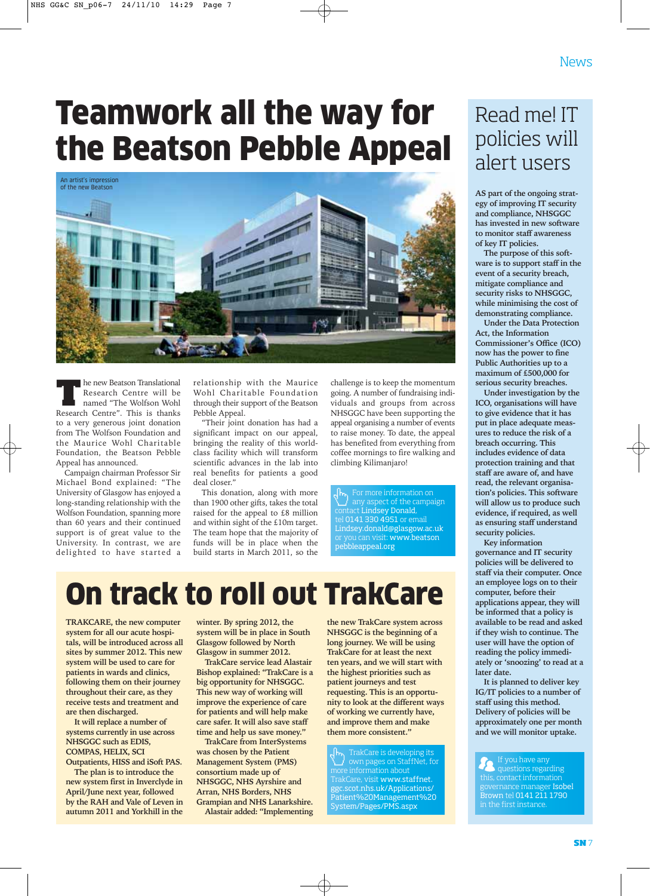## Teamwork all the way for the Beatson Pebble Appeal



**The new Beatson Translational Research Centre will be named "The Wolfson Wohl Research Centre". This is thanks** .<br>Research Centre will be Research Centre". This is thanks to a very generous joint donation from The Wolfson Foundation and the Maurice Wohl Charitable Foundation, the Beatson Pebble Appeal has announced.

Campaign chairman Professor Sir Michael Bond explained: "The University of Glasgow has enjoyed a long-standing relationship with the Wolfson Foundation, spanning more than 60 years and their continued support is of great value to the University. In contrast, we are delighted to have started a

relationship with the Maurice Wohl Charitable Foundation through their support of the Beatson Pebble Appeal.

"Their joint donation has had a significant impact on our appeal, bringing the reality of this worldclass facility which will transform scientific advances in the lab into real benefits for patients a good deal closer."

This donation, along with more than 1900 other gifts, takes the total raised for the appeal to £8 million and within sight of the £10m target. The team hope that the majority of funds will be in place when the build starts in March 2011, so the

challenge is to keep the momentum going. A number of fundraising individuals and groups from across NHSGGC have been supporting the appeal organising a number of events to raise money. To date, the appeal has benefited from everything from coffee mornings to fire walking and climbing Kilimanjaro!

any aspect of the campaign contact Lindsey Donald, tel 0141 330 4951 or email Lindsey.donald@glasgow.ac.uk ou can visit: www.beatson pebbleappeal.org

### On track to roll out TrakCare

**TRAKCARE, the new computer system for all our acute hospitals, will be introduced across all sites by summer 2012. This new system will be used to care for patients in wards and clinics, following them on their journey throughout their care, as they receive tests and treatment and are then discharged.**

**It will replace a number of systems currently in use across NHSGGC such as EDIS, COMPAS, HELIX, SCI Outpatients, HISS and iSoft PAS.**

**The plan is to introduce the new system first in Inverclyde in April/June next year, followed by the RAH and Vale of Leven in autumn 2011 and Yorkhill in the** **winter. By spring 2012, the system will be in place in South Glasgow followed by North Glasgow in summer 2012.**

**TrakCare service lead Alastair Bishop explained: "TrakCare is a big opportunity for NHSGGC. This new way of working will improve the experience of care for patients and will help make care safer. It will also save staff time and help us save money."**

**TrakCare from InterSystems was chosen by the Patient Management System (PMS) consortium made up of NHSGGC, NHS Ayrshire and Arran, NHS Borders, NHS Grampian and NHS Lanarkshire. Alastair added: "Implementing** **NHSGGC is the beginning of a long journey. We will be using TrakCare for at least the next ten years, and we will start with the highest priorities such as patient journeys and test requesting. This is an opportunity to look at the different ways of working we currently have, and improve them and make them more consistent."**

**the new TrakCare system across**

TrakCare is developing its own pages on StaffNet, for more information about TrakCare, visit www.staffnet. ggc.scot.nhs.uk/Applications/ Patient%20Management%20 System/Pages/PMS.aspx

### Read me! IT policies will alert users

**AS part of the ongoing strategy of improving IT security and compliance, NHSGGC has invested in new software to monitor staff awareness of key IT policies.**

**The purpose of this software is to support staff in the event of a security breach, mitigate compliance and security risks to NHSGGC, while minimising the cost of demonstrating compliance.**

**Under the Data Protection Act, the Information Commissioner's Office (ICO) now has the power to fine Public Authorities up to a maximum of £500,000 for serious security breaches.**

**Under investigation by the ICO, organisations will have to give evidence that it has put in place adequate measures to reduce the risk of a breach occurring. This includes evidence of data protection training and that staff are aware of, and have read, the relevant organisation's policies. This software will allow us to produce such evidence, if required, as well as ensuring staff understand security policies.**

**Key information governance and IT security policies will be delivered to staff via their computer. Once an employee logs on to their computer, before their applications appear, they will be informed that a policy is available to be read and asked if they wish to continue. The user will have the option of reading the policy immediately or 'snoozing' to read at a later date.**

**It is planned to deliver key IG/IT policies to a number of staff using this method. Delivery of policies will be approximately one per month and we will monitor uptake.** 

### If you have any questions regarding governance manager Isobel Brown tel 0141 211 1790 in the first instance.